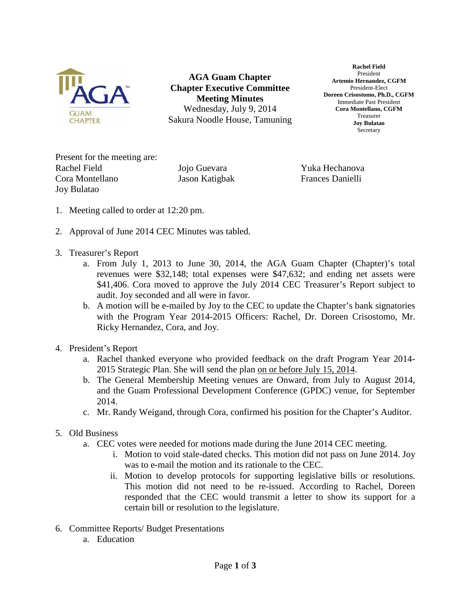

**AGA Guam Chapter Chapter Executive Committee Meeting Minutes** Wednesday, July 9, 2014 Sakura Noodle House, Tamuning

**Rachel Field** President **Artemio Hernandez, CGFM** President-Elect **Doreen Crisostomo, Ph.D., CGFM** Immediate Past President **Cora Montellano, CGFM** Treasurer **Joy Bulatao Secretary** 

Present for the meeting are: Rachel Field **Iojo Guevara** Yuka Hechanova Cora Montellano Jason Katigbak Frances Danielli Joy Bulatao

- 1. Meeting called to order at 12:20 pm.
- 2. Approval of June 2014 CEC Minutes was tabled.
- 3. Treasurer's Report
	- a. From July 1, 2013 to June 30, 2014, the AGA Guam Chapter (Chapter)'s total revenues were \$32,148; total expenses were \$47,632; and ending net assets were \$41,406. Cora moved to approve the July 2014 CEC Treasurer's Report subject to audit. Joy seconded and all were in favor.
	- b. A motion will be e-mailed by Joy to the CEC to update the Chapter's bank signatories with the Program Year 2014-2015 Officers: Rachel, Dr. Doreen Crisostomo, Mr. Ricky Hernandez, Cora, and Joy.
- 4. President's Report
	- a. Rachel thanked everyone who provided feedback on the draft Program Year 2014- 2015 Strategic Plan. She will send the plan on or before July 15, 2014.
	- b. The General Membership Meeting venues are Onward, from July to August 2014, and the Guam Professional Development Conference (GPDC) venue, for September 2014.
	- c. Mr. Randy Weigand, through Cora, confirmed his position for the Chapter's Auditor.
- 5. Old Business
	- a. CEC votes were needed for motions made during the June 2014 CEC meeting.
		- i. Motion to void stale-dated checks. This motion did not pass on June 2014. Joy was to e-mail the motion and its rationale to the CEC.
		- ii. Motion to develop protocols for supporting legislative bills or resolutions. This motion did not need to be re-issued. According to Rachel, Doreen responded that the CEC would transmit a letter to show its support for a certain bill or resolution to the legislature.
- 6. Committee Reports/ Budget Presentations
	- a. Education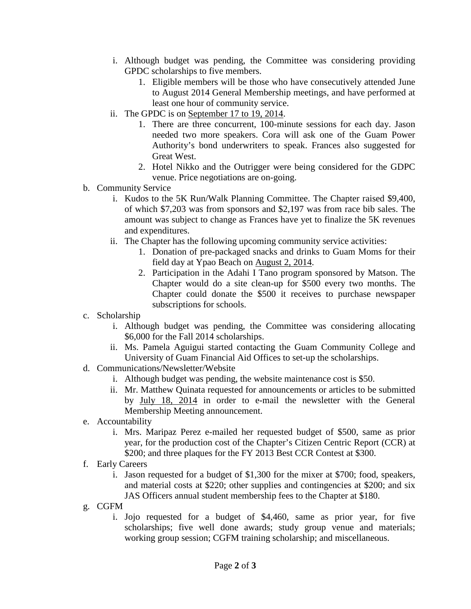- i. Although budget was pending, the Committee was considering providing GPDC scholarships to five members.
	- 1. Eligible members will be those who have consecutively attended June to August 2014 General Membership meetings, and have performed at least one hour of community service.
- ii. The GPDC is on September 17 to 19, 2014.
	- 1. There are three concurrent, 100-minute sessions for each day. Jason needed two more speakers. Cora will ask one of the Guam Power Authority's bond underwriters to speak. Frances also suggested for Great West.
	- 2. Hotel Nikko and the Outrigger were being considered for the GDPC venue. Price negotiations are on-going.
- b. Community Service
	- i. Kudos to the 5K Run/Walk Planning Committee. The Chapter raised \$9,400, of which \$7,203 was from sponsors and \$2,197 was from race bib sales. The amount was subject to change as Frances have yet to finalize the 5K revenues and expenditures.
	- ii. The Chapter has the following upcoming community service activities:
		- 1. Donation of pre-packaged snacks and drinks to Guam Moms for their field day at Ypao Beach on August 2, 2014.
		- 2. Participation in the Adahi I Tano program sponsored by Matson. The Chapter would do a site clean-up for \$500 every two months. The Chapter could donate the \$500 it receives to purchase newspaper subscriptions for schools.
- c. Scholarship
	- i. Although budget was pending, the Committee was considering allocating \$6,000 for the Fall 2014 scholarships.
	- ii. Ms. Pamela Aguigui started contacting the Guam Community College and University of Guam Financial Aid Offices to set-up the scholarships.
- d. Communications/Newsletter/Website
	- i. Although budget was pending, the website maintenance cost is \$50.
	- ii. Mr. Matthew Quinata requested for announcements or articles to be submitted by July 18, 2014 in order to e-mail the newsletter with the General Membership Meeting announcement.
- e. Accountability
	- i. Mrs. Maripaz Perez e-mailed her requested budget of \$500, same as prior year, for the production cost of the Chapter's Citizen Centric Report (CCR) at \$200; and three plaques for the FY 2013 Best CCR Contest at \$300.
- f. Early Careers
	- i. Jason requested for a budget of \$1,300 for the mixer at \$700; food, speakers, and material costs at \$220; other supplies and contingencies at \$200; and six JAS Officers annual student membership fees to the Chapter at \$180.
- g. CGFM
	- i. Jojo requested for a budget of \$4,460, same as prior year, for five scholarships; five well done awards; study group venue and materials; working group session; CGFM training scholarship; and miscellaneous.